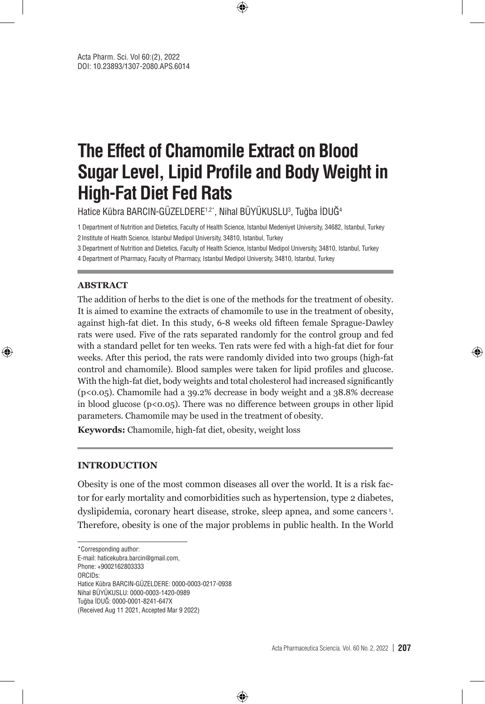# **The Effect of Chamomile Extract on Blood Sugar Level, Lipid Profile and Body Weight in High-Fat Diet Fed Rats**

⊕

Hatice Kübra BARCIN-GÜZELDERE1,2\*, Nihal BÜYÜKUSLU3 , Tuğba İDUĞ4

1 Department of Nutrition and Dietetics, Faculty of Health Science, Istanbul Medeniyet University, 34682, Istanbul, Turkey 2Institute of Health Science, Istanbul Medipol University, 34810, Istanbul, Turkey

3 Department of Nutrition and Dietetics, Faculty of Health Science, Istanbul Medipol University, 34810, Istanbul, Turkey

4 Department of Pharmacy, Faculty of Pharmacy, Istanbul Medipol University, 34810, Istanbul, Turkey

#### **ABSTRACT**

⊕

The addition of herbs to the diet is one of the methods for the treatment of obesity. It is aimed to examine the extracts of chamomile to use in the treatment of obesity, against high-fat diet. In this study, 6-8 weeks old fifteen female Sprague-Dawley rats were used. Five of the rats separated randomly for the control group and fed with a standard pellet for ten weeks. Ten rats were fed with a high-fat diet for four weeks. After this period, the rats were randomly divided into two groups (high-fat control and chamomile). Blood samples were taken for lipid profiles and glucose. With the high-fat diet, body weights and total cholesterol had increased significantly (p<0.05). Chamomile had a 39.2% decrease in body weight and a 38.8% decrease in blood glucose  $(p<0.05)$ . There was no difference between groups in other lipid parameters. Chamomile may be used in the treatment of obesity.

**Keywords:** Chamomile, high-fat diet, obesity, weight loss

#### **INTRODUCTION**

Obesity is one of the most common diseases all over the world. It is a risk factor for early mortality and comorbidities such as hypertension, type 2 diabetes, dyslipidemia, coronary heart disease, stroke, sleep apnea, and some cancers<sup>1</sup>. Therefore, obesity is one of the major problems in public health. In the World

⊕

E-mail: haticekubra.barcin@gmail.com,

Phone: +9002162803333

ORCIDs: Hatice Kübra BARCIN-GÜZELDERE: 0000-0003-0217-0938 Nihal BÜYÜKUSLU: 0000-0003-1420-0989 Tuğba İDUĞ: 0000-0001-8241-647X (Received Aug 11 2021, Accepted Mar 9 2022)

<sup>\*</sup>Corresponding author: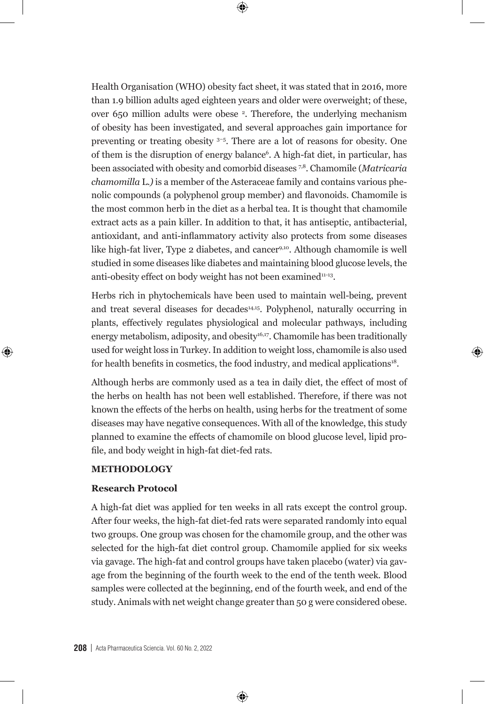Health Organisation (WHO) obesity fact sheet, it was stated that in 2016, more than 1.9 billion adults aged eighteen years and older were overweight; of these, over 650 million adults were obese 2 . Therefore, the underlying mechanism of obesity has been investigated, and several approaches gain importance for preventing or treating obesity 3–5. There are a lot of reasons for obesity. One of them is the disruption of energy balance<sup>6</sup>. A high-fat diet, in particular, has been associated with obesity and comorbid diseases 7,8. Chamomile (*Matricaria chamomilla* L*.)* is a member of the Asteraceae family and contains various phenolic compounds (a polyphenol group member) and flavonoids. Chamomile is the most common herb in the diet as a herbal tea. It is thought that chamomile extract acts as a pain killer. In addition to that, it has antiseptic, antibacterial, antioxidant, and anti-inflammatory activity also protects from some diseases like high-fat liver, Type 2 diabetes, and cancer9,10. Although chamomile is well studied in some diseases like diabetes and maintaining blood glucose levels, the anti-obesity effect on body weight has not been examined<sup>11-13</sup>.

 $\bm \Theta$ 

Herbs rich in phytochemicals have been used to maintain well-being, prevent and treat several diseases for decades<sup>14,15</sup>. Polyphenol, naturally occurring in plants, effectively regulates physiological and molecular pathways, including energy metabolism, adiposity, and obesity<sup>16,17</sup>. Chamomile has been traditionally used for weight loss in Turkey. In addition to weight loss, chamomile is also used for health benefits in cosmetics, the food industry, and medical applications<sup>18</sup>.

⊕

Although herbs are commonly used as a tea in daily diet, the effect of most of the herbs on health has not been well established. Therefore, if there was not known the effects of the herbs on health, using herbs for the treatment of some diseases may have negative consequences. With all of the knowledge, this study planned to examine the effects of chamomile on blood glucose level, lipid profile, and body weight in high-fat diet-fed rats.

#### **METHODOLOGY**

⊕

#### **Research Protocol**

A high-fat diet was applied for ten weeks in all rats except the control group. After four weeks, the high-fat diet-fed rats were separated randomly into equal two groups. One group was chosen for the chamomile group, and the other was selected for the high-fat diet control group. Chamomile applied for six weeks via gavage. The high-fat and control groups have taken placebo (water) via gavage from the beginning of the fourth week to the end of the tenth week. Blood samples were collected at the beginning, end of the fourth week, and end of the study. Animals with net weight change greater than 50 g were considered obese.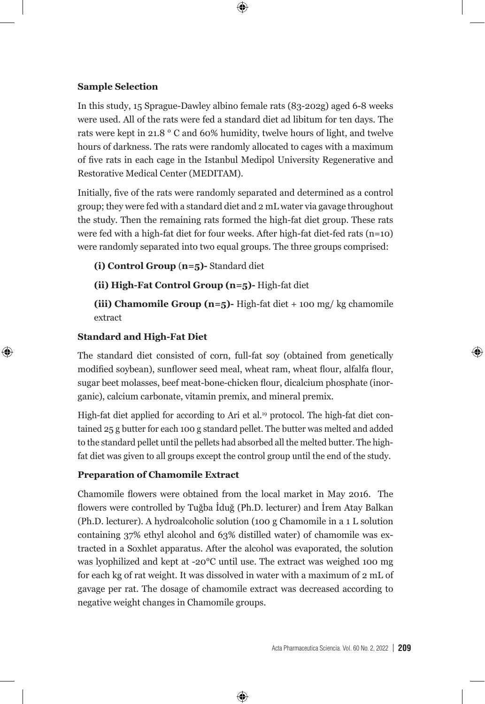**Sample Selection**

In this study, 15 Sprague-Dawley albino female rats (83-202g) aged 6-8 weeks were used. All of the rats were fed a standard diet ad libitum for ten days. The rats were kept in 21.8 ° C and 60% humidity, twelve hours of light, and twelve hours of darkness. The rats were randomly allocated to cages with a maximum of five rats in each cage in the Istanbul Medipol University Regenerative and Restorative Medical Center (MEDITAM).

 $\bm \Theta$ 

Initially, five of the rats were randomly separated and determined as a control group; they were fed with a standard diet and 2 mL water via gavage throughout the study. Then the remaining rats formed the high-fat diet group. These rats were fed with a high-fat diet for four weeks. After high-fat diet-fed rats (n=10) were randomly separated into two equal groups. The three groups comprised:

**(i) Control Group** (**n=5)-** Standard diet

**(ii) High-Fat Control Group (n=5)-** High-fat diet

**(iii) Chamomile Group (n=5)-** High-fat diet + 100 mg/ kg chamomile extract

#### **Standard and High-Fat Diet**

⊕

The standard diet consisted of corn, full-fat soy (obtained from genetically modified soybean), sunflower seed meal, wheat ram, wheat flour, alfalfa flour, sugar beet molasses, beef meat-bone-chicken flour, dicalcium phosphate (inorganic), calcium carbonate, vitamin premix, and mineral premix.

High-fat diet applied for according to Ari et al.<sup>19</sup> protocol. The high-fat diet contained 25 g butter for each 100 g standard pellet. The butter was melted and added to the standard pellet until the pellets had absorbed all the melted butter. The highfat diet was given to all groups except the control group until the end of the study.

#### **Preparation of Chamomile Extract**

Chamomile flowers were obtained from the local market in May 2016. The flowers were controlled by Tuğba İduğ (Ph.D. lecturer) and İrem Atay Balkan (Ph.D. lecturer). A hydroalcoholic solution (100 g Chamomile in a 1 L solution containing 37% ethyl alcohol and 63% distilled water) of chamomile was extracted in a Soxhlet apparatus. After the alcohol was evaporated, the solution was lyophilized and kept at -20°C until use. The extract was weighed 100 mg for each kg of rat weight. It was dissolved in water with a maximum of 2 mL of gavage per rat. The dosage of chamomile extract was decreased according to negative weight changes in Chamomile groups.

⊕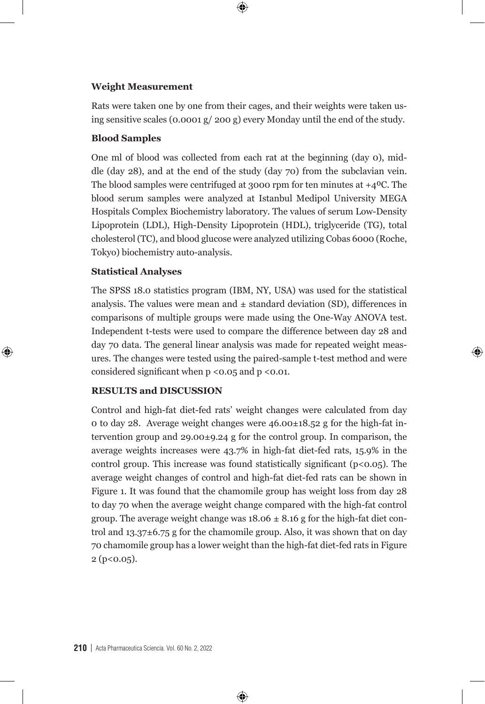# **Weight Measurement**

Rats were taken one by one from their cages, and their weights were taken using sensitive scales (0.0001 g/ 200 g) every Monday until the end of the study.

 $\bigoplus$ 

#### **Blood Samples**

One ml of blood was collected from each rat at the beginning (day 0), middle (day 28), and at the end of the study (day 70) from the subclavian vein. The blood samples were centrifuged at 3000 rpm for ten minutes at  $+4^{\circ}$ C. The blood serum samples were analyzed at Istanbul Medipol University MEGA Hospitals Complex Biochemistry laboratory. The values of serum Low-Density Lipoprotein (LDL), High-Density Lipoprotein (HDL), triglyceride (TG), total cholesterol (TC), and blood glucose were analyzed utilizing Cobas 6000 (Roche, Tokyo) biochemistry auto-analysis.

## **Statistical Analyses**

⊕

The SPSS 18.0 statistics program (IBM, NY, USA) was used for the statistical analysis. The values were mean and  $\pm$  standard deviation (SD), differences in comparisons of multiple groups were made using the One-Way ANOVA test. Independent t-tests were used to compare the difference between day 28 and day 70 data. The general linear analysis was made for repeated weight measures. The changes were tested using the paired-sample t-test method and were considered significant when  $p \le 0.05$  and  $p \le 0.01$ .

⊕

### **RESULTS and DISCUSSION**

Control and high-fat diet-fed rats' weight changes were calculated from day 0 to day 28. Average weight changes were 46.00±18.52 g for the high-fat intervention group and 29.00±9.24 g for the control group. In comparison, the average weights increases were 43.7% in high-fat diet-fed rats, 15.9% in the control group. This increase was found statistically significant ( $p < 0.05$ ). The average weight changes of control and high-fat diet-fed rats can be shown in Figure 1. It was found that the chamomile group has weight loss from day 28 to day 70 when the average weight change compared with the high-fat control group. The average weight change was  $18.06 \pm 8.16$  g for the high-fat diet control and 13.37±6.75 g for the chamomile group. Also, it was shown that on day 70 chamomile group has a lower weight than the high-fat diet-fed rats in Figure  $2 (p < 0.05)$ .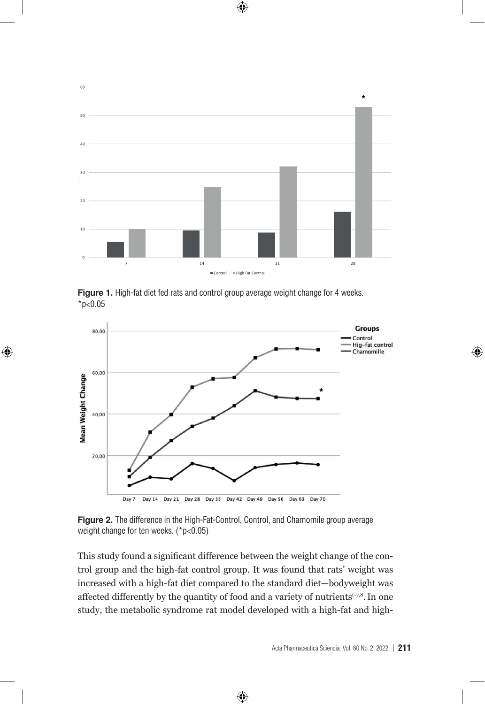

 $\mathcal{I}(\mathcal{I})$  increases were 43.7% increases were 43.7% in high-fat diet-fed rats, 15.9% in the control rats, 15.9% in the control rats, 15.9% in the control rats, 15.9% in the control rats, 15.9% in the control rats, 15  $\mathcal{G}$  increase was found statistically significant (point changes of control control control control control control control control control control control control control control control control control control contr

**Figure 1.** High-fat diet fed rats and control group average weight change for 4 weeks. **Figure 1.** High-fat diet fed rats and control group average weight change for 4 weeks. **\*p<0.05** \*p<0.05

⊕



weight change for ten weeks. (\*p<0.05) **EXECON CONTROL Figure 2.** The difference in the High-Fat-Control, Control, and Chamomile group average

trol group and the high-fat control group. It was found that rats' weight was fire cased with a high-fat diet compared to the standard diet body weight was standard differently by the quantity of food and a variety of nutrients  $\cdots$ study, the metabolic syndrome rat model developed with a high-fat and high-This study found a significant difference between the weight change of the conincreased with a high-fat diet compared to the standard diet—bodyweight was affected differently by the quantity of food and a variety of nutrients  $(-7,8)$ . In one

⊕

higher adiposity values and leptin levels, and fatty liver masses 22. Despite that, few studies showed no

significant difference between a high-fat difference between a high-fat difference between  $\mathbf{F}_{\mathrm{c}}$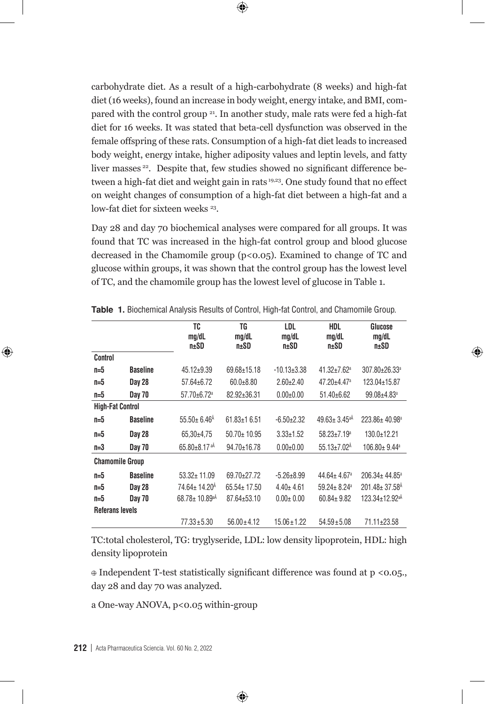carbohydrate diet. As a result of a high-carbohydrate (8 weeks) and high-fat diet (16 weeks), found an increase in body weight, energy intake, and BMI, compared with the control group <sup>21</sup>. In another study, male rats were fed a high-fat diet for 16 weeks. It was stated that beta-cell dysfunction was observed in the female offspring of these rats. Consumption of a high-fat diet leads to increased body weight, energy intake, higher adiposity values and leptin levels, and fatty liver masses 22. Despite that, few studies showed no significant difference between a high-fat diet and weight gain in rats 19,23. One study found that no effect on weight changes of consumption of a high-fat diet between a high-fat and a low-fat diet for sixteen weeks <sup>23</sup>.

 $\bm \Theta$ 

Day 28 and day 70 biochemical analyses were compared for all groups. It was found that TC was increased in the high-fat control group and blood glucose decreased in the Chamomile group (p<0.05). Examined to change of TC and glucose within groups, it was shown that the control group has the lowest level of TC, and the chamomile group has the lowest level of glucose in Table 1.

|                         |                 | TC<br>mg/dL<br>n±SD             | TG<br>mq/dL<br>n±SD | LDL<br>mg/dL<br>n±SD | <b>HDL</b><br>mg/dL<br>npmSD   | Glucose<br>mq/dL<br>n±SD        |
|-------------------------|-----------------|---------------------------------|---------------------|----------------------|--------------------------------|---------------------------------|
| Control                 |                 |                                 |                     |                      |                                |                                 |
| $n=5$                   | <b>Baseline</b> | $45.12 \pm 9.39$                | $69.68 \pm 15.18$   | $-10.13 \pm 3.38$    | $41.32 + 7.62$ <sup>a</sup>    | 307.80±26.33ª                   |
| $n=5$                   | Day 28          | $57.64 \pm 6.72$                | $60.0 + 8.80$       | $2.60 \pm 2.40$      | $47.20 + 4.47$ <sup>a</sup>    | 123.04±15.87                    |
| $n=5$                   | <b>Day 70</b>   | 57.70±6.72 <sup>a</sup>         | 82.92±36.31         | $0.00 \pm 0.00$      | $51.40\pm 6.62$                | $99.08 + 4.83$ <sup>a</sup>     |
| <b>High-Fat Control</b> |                 |                                 |                     |                      |                                |                                 |
| $n=5$                   | <b>Baseline</b> | $55.50 \pm 6.46$ <sup>Å</sup>   | $61.83 \pm 16.51$   | $-6.50 \pm 2.32$     | $49.63 \pm 3.45$ <sup>aA</sup> | $223.86 \pm 40.98^{\circ}$      |
| $n=5$                   | Day 28          | $65.30+4.75$                    | $50.70 \pm 10.95$   | $3.33 \pm 1.52$      | $58.23 \pm 7.19$ <sup>a</sup>  | $130.0 + 12.21$                 |
| $n=3$                   | <b>Day 70</b>   | $65.80 \pm 8.17$ <sup>aÅ</sup>  | 94.70±16.78         | $0.00+0.00$          | $55.13 \pm 7.02$ <sup>Å</sup>  | 106.80± 9.44 <sup>a</sup>       |
| <b>Chamomile Group</b>  |                 |                                 |                     |                      |                                |                                 |
| $n=5$                   | <b>Baseline</b> | $53.32 \pm 11.09$               | 69.70±27.72         | $-5.26 \pm 8.99$     | $44.64 + 4.67$ <sup>a</sup>    | $206.34 \pm 44.85^a$            |
| $n=5$                   | Day 28          | 74.64± 14.20 <sup>Å</sup>       | $65.54 \pm 17.50$   | $4.40 \pm 4.61$      | $59.24 \pm 8.24$ <sup>a</sup>  | $201.48 \pm 37.58$ <sup>Å</sup> |
| $n=5$                   | <b>Day 70</b>   | $68.78 \pm 10.89$ <sup>aÅ</sup> | $87.64 \pm 53.10$   | $0.00 \pm 0.00$      | $60.84 \pm 9.82$               | 123.34±12.92 <sup>aÅ</sup>      |
| <b>Referans levels</b>  |                 |                                 |                     |                      |                                |                                 |
|                         |                 | $77.33 \pm 5.30$                | $56.00 \pm 4.12$    | $15.06 \pm 1.22$     | $54.59 \pm 5.08$               | 71.11±23.58                     |

**Table 1.** Biochemical Analysis Results of Control, High-fat Control, and Chamomile Group.

⊕

TC:total cholesterol, TG: tryglyseride, LDL: low density lipoprotein, HDL: high density lipoprotein

 $\oplus$  Independent T-test statistically significant difference was found at p <0.05., day 28 and day 70 was analyzed.

⊕

a One-way ANOVA, p<0.05 within-group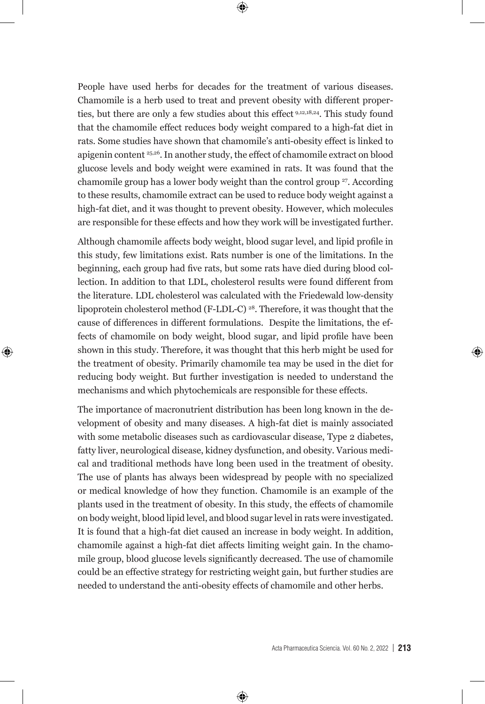$\bigoplus$ 

People have used herbs for decades for the treatment of various diseases. Chamomile is a herb used to treat and prevent obesity with different properties, but there are only a few studies about this effect<sup>9,12,18,24</sup>. This study found that the chamomile effect reduces body weight compared to a high-fat diet in rats. Some studies have shown that chamomile's anti-obesity effect is linked to apigenin content 25,26. In another study, the effect of chamomile extract on blood glucose levels and body weight were examined in rats. It was found that the chamomile group has a lower body weight than the control group <sup>27</sup>. According to these results, chamomile extract can be used to reduce body weight against a high-fat diet, and it was thought to prevent obesity. However, which molecules are responsible for these effects and how they work will be investigated further.

Although chamomile affects body weight, blood sugar level, and lipid profile in this study, few limitations exist. Rats number is one of the limitations. In the beginning, each group had five rats, but some rats have died during blood collection. In addition to that LDL, cholesterol results were found different from the literature. LDL cholesterol was calculated with the Friedewald low-density lipoprotein cholesterol method (F-LDL-C) 28. Therefore, it was thought that the cause of differences in different formulations. Despite the limitations, the effects of chamomile on body weight, blood sugar, and lipid profile have been shown in this study. Therefore, it was thought that this herb might be used for the treatment of obesity. Primarily chamomile tea may be used in the diet for reducing body weight. But further investigation is needed to understand the mechanisms and which phytochemicals are responsible for these effects.

⊕

The importance of macronutrient distribution has been long known in the development of obesity and many diseases. A high-fat diet is mainly associated with some metabolic diseases such as cardiovascular disease, Type 2 diabetes, fatty liver, neurological disease, kidney dysfunction, and obesity. Various medical and traditional methods have long been used in the treatment of obesity. The use of plants has always been widespread by people with no specialized or medical knowledge of how they function. Chamomile is an example of the plants used in the treatment of obesity. In this study, the effects of chamomile on body weight, blood lipid level, and blood sugar level in rats were investigated. It is found that a high-fat diet caused an increase in body weight. In addition, chamomile against a high-fat diet affects limiting weight gain. In the chamomile group, blood glucose levels significantly decreased. The use of chamomile could be an effective strategy for restricting weight gain, but further studies are needed to understand the anti-obesity effects of chamomile and other herbs.

⊕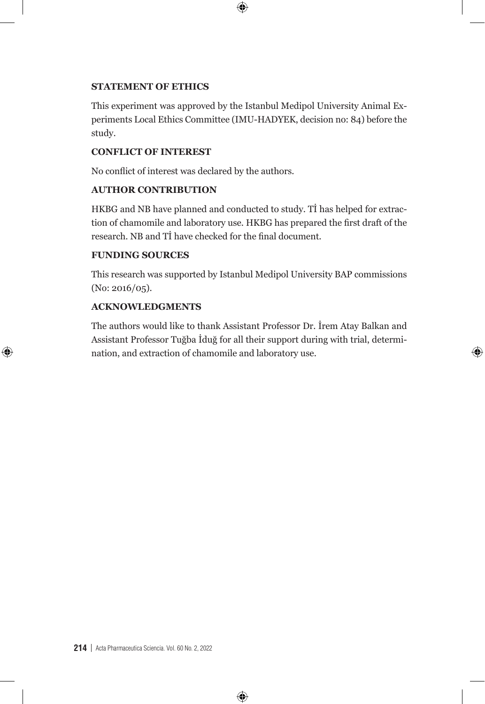## **STATEMENT OF ETHICS**

This experiment was approved by the Istanbul Medipol University Animal Experiments Local Ethics Committee (IMU-HADYEK, decision no: 84) before the study.

 $\bigoplus$ 

## **CONFLICT OF INTEREST**

No conflict of interest was declared by the authors.

# **AUTHOR CONTRIBUTION**

HKBG and NB have planned and conducted to study. Tİ has helped for extraction of chamomile and laboratory use. HKBG has prepared the first draft of the research. NB and Tİ have checked for the final document.

# **FUNDING SOURCES**

This research was supported by Istanbul Medipol University BAP commissions (No: 2016/05).

# **ACKNOWLEDGMENTS**

⊕

The authors would like to thank Assistant Professor Dr. İrem Atay Balkan and Assistant Professor Tuğba İduğ for all their support during with trial, determination, and extraction of chamomile and laboratory use.

⊕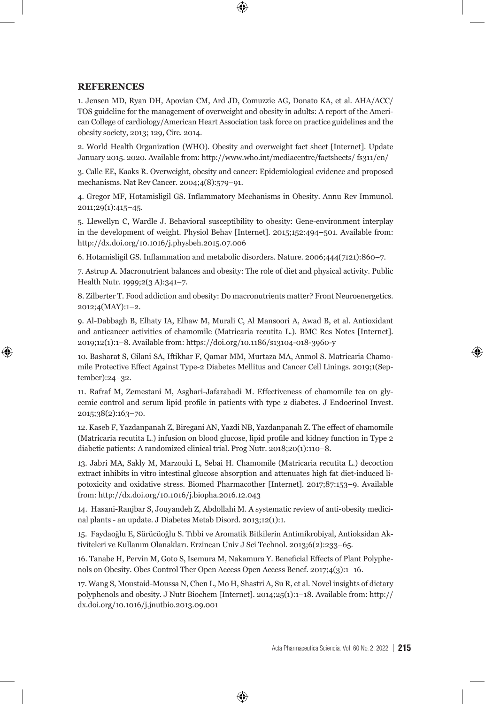#### **REFERENCES**

⊕

1. Jensen MD, Ryan DH, Apovian CM, Ard JD, Comuzzie AG, Donato KA, et al. AHA/ACC/ TOS guideline for the management of overweight and obesity in adults: A report of the American College of cardiology/American Heart Association task force on practice guidelines and the obesity society, 2013; 129, Circ. 2014.

2. World Health Organization (WHO). Obesity and overweight fact sheet [Internet]. Update January 2015. 2020. Available from: http://www.who.int/mediacentre/factsheets/ fs311/en/

3. Calle EE, Kaaks R. Overweight, obesity and cancer: Epidemiological evidence and proposed mechanisms. Nat Rev Cancer. 2004;4(8):579–91.

4. Gregor MF, Hotamisligil GS. Inflammatory Mechanisms in Obesity. Annu Rev Immunol. 2011;29(1):415–45.

5. Llewellyn C, Wardle J. Behavioral susceptibility to obesity: Gene-environment interplay in the development of weight. Physiol Behav [Internet]. 2015;152:494–501. Available from: http://dx.doi.org/10.1016/j.physbeh.2015.07.006

6. Hotamisligil GS. Inflammation and metabolic disorders. Nature. 2006;444(7121):860–7.

7. Astrup A. Macronutrient balances and obesity: The role of diet and physical activity. Public Health Nutr. 1999;2(3 A):341-7.

8. Zilberter T. Food addiction and obesity: Do macronutrients matter? Front Neuroenergetics. 2012;4(MAY):1–2.

9. Al-Dabbagh B, Elhaty IA, Elhaw M, Murali C, Al Mansoori A, Awad B, et al. Antioxidant and anticancer activities of chamomile (Matricaria recutita L.). BMC Res Notes [Internet]. 2019;12(1):1–8. Available from: https://doi.org/10.1186/s13104-018-3960-y

10. Basharat S, Gilani SA, Iftikhar F, Qamar MM, Murtaza MA, Anmol S. Matricaria Chamomile Protective Effect Against Type-2 Diabetes Mellitus and Cancer Cell Linings. 2019;1(September):24–32.

11. Rafraf M, Zemestani M, Asghari-Jafarabadi M. Effectiveness of chamomile tea on glycemic control and serum lipid profile in patients with type 2 diabetes. J Endocrinol Invest. 2015;38(2):163–70.

12. Kaseb F, Yazdanpanah Z, Biregani AN, Yazdi NB, Yazdanpanah Z. The effect of chamomile (Matricaria recutita L.) infusion on blood glucose, lipid profile and kidney function in Type 2 diabetic patients: A randomized clinical trial. Prog Nutr. 2018;20(1):110–8.

13. Jabri MA, Sakly M, Marzouki L, Sebai H. Chamomile (Matricaria recutita L.) decoction extract inhibits in vitro intestinal glucose absorption and attenuates high fat diet-induced lipotoxicity and oxidative stress. Biomed Pharmacother [Internet]. 2017;87:153–9. Available from: http://dx.doi.org/10.1016/j.biopha.2016.12.043

14. Hasani-Ranjbar S, Jouyandeh Z, Abdollahi M. A systematic review of anti-obesity medicinal plants - an update. J Diabetes Metab Disord. 2013;12(1):1.

15. Faydaoğlu E, Sürücüoğlu S. Tıbbi ve Aromatik Bitkilerin Antimikrobiyal, Antioksidan Aktiviteleri ve Kullanım Olanakları. Erzincan Univ J Sci Technol. 2013;6(2):233–65.

16. Tanabe H, Pervin M, Goto S, Isemura M, Nakamura Y. Beneficial Effects of Plant Polyphenols on Obesity. Obes Control Ther Open Access Open Access Benef. 2017;4(3):1–16.

17. Wang S, Moustaid-Moussa N, Chen L, Mo H, Shastri A, Su R, et al. Novel insights of dietary polyphenols and obesity. J Nutr Biochem [Internet]. 2014;25(1):1–18. Available from: http:// dx.doi.org/10.1016/j.jnutbio.2013.09.001

⊕